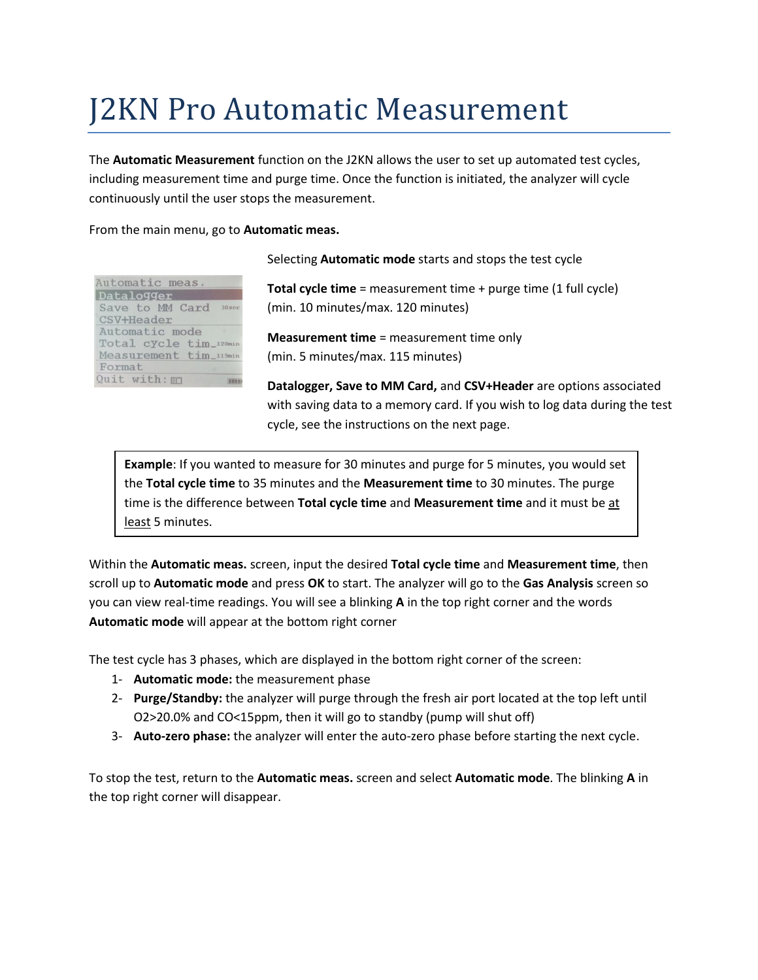# J2KN Pro Automatic Measurement

The **Automatic Measurement** function on the J2KN allows the user to set up automated test cycles, including measurement time and purge time. Once the function is initiated, the analyzer will cycle continuously until the user stops the measurement.

#### From the main menu, go to **Automatic meas.**

| Automatic meas.<br>Datalogger       |  |
|-------------------------------------|--|
| Save to MM Card 30sec<br>CSV+Header |  |
| Automatic mode                      |  |
| Total cycle tim_120min              |  |
| Measurement tim 115min              |  |
| Format                              |  |
| Quit with: m                        |  |

Selecting **Automatic mode** starts and stops the test cycle

**Total cycle time** = measurement time + purge time (1 full cycle) (min. 10 minutes/max. 120 minutes)

**Measurement time** = measurement time only (min. 5 minutes/max. 115 minutes)

**Datalogger, Save to MM Card,** and **CSV+Header** are options associated with saving data to a memory card. If you wish to log data during the test cycle, see the instructions on the next page.

**Example**: If you wanted to measure for 30 minutes and purge for 5 minutes, you would set the **Total cycle time** to 35 minutes and the **Measurement time** to 30 minutes. The purge time is the difference between **Total cycle time** and **Measurement time** and it must be at least 5 minutes.

Within the **Automatic meas.** screen, input the desired **Total cycle time** and **Measurement time**, then scroll up to **Automatic mode** and press **OK** to start. The analyzer will go to the **Gas Analysis** screen so you can view real-time readings. You will see a blinking **A** in the top right corner and the words **Automatic mode** will appear at the bottom right corner

The test cycle has 3 phases, which are displayed in the bottom right corner of the screen:

- 1- **Automatic mode:** the measurement phase
- 2- **Purge/Standby:** the analyzer will purge through the fresh air port located at the top left until O2>20.0% and CO<15ppm, then it will go to standby (pump will shut off)
- 3- **Auto-zero phase:** the analyzer will enter the auto-zero phase before starting the next cycle.

To stop the test, return to the **Automatic meas.** screen and select **Automatic mode**. The blinking **A** in the top right corner will disappear.